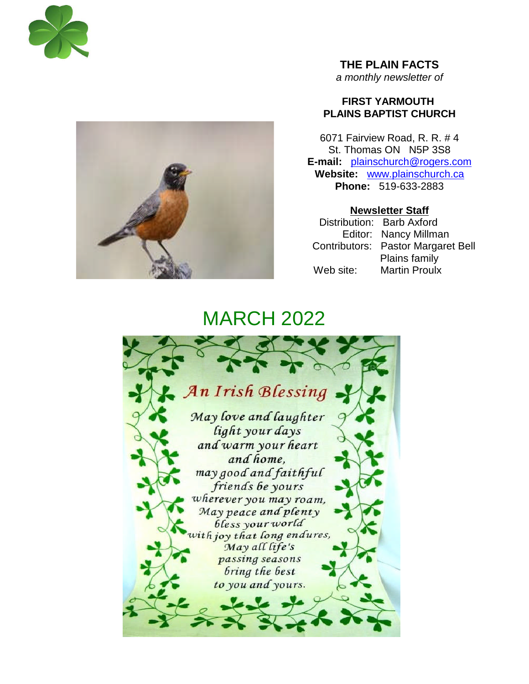



**THE PLAIN FACTS** *a monthly newsletter of*

# **FIRST YARMOUTH PLAINS BAPTIST CHURCH**

6071 Fairview Road, R. R. # 4 St. Thomas ON N5P 3S8 **E-mail:** plainschurch@rogers.com **Website:** www.plainschurch.ca **Phone:** 519-633-2883

**Newsletter Staff** Distribution: Barb Axford Editor: Nancy Millman Contributors: Pastor Margaret Bell Plains family Web site: Martin Proulx

# **MARCH 2022**

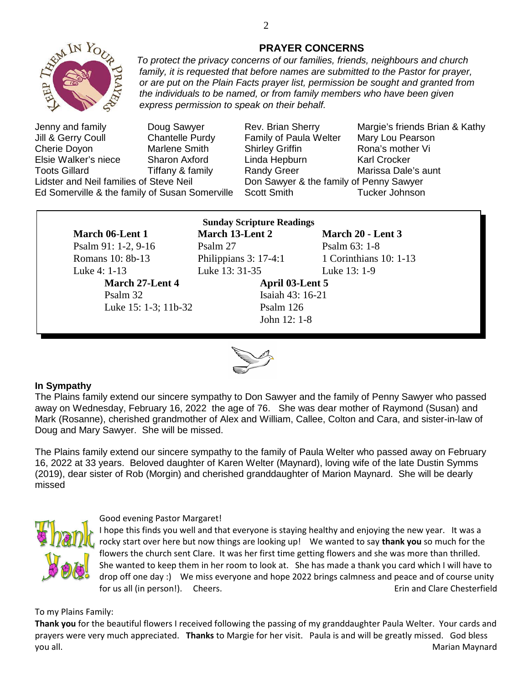

*family, it is requested that before names are submitted to the Pastor for prayer, or are put on the Plain Facts prayer list, permission be sought and granted from the individuals to be named, or from family members who have been given express permission to speak on their behalf.* Jenny and family Doug Sawyer Rev. Brian Sherry Margie's friends Brian & Kathy Jill & Gerry Coull Chantelle Purdy Family of Paula Welter Mary Lou Pearson Cherie Doyon **Marlene Smith** Shirley Griffin **Rona's mother Vi** 

Elsie Walker's niece Sharon Axford Linda Hepburn Karl Crocker Toots Gillard **Tiffany & family** Randy Greer Marissa Dale's aunt Lidster and Neil families of Steve Neil **Don Sawyer & the family of Penny Sawyer** Ed Somerville & the family of Susan Somerville Scott Smith Tucker Johnson

Luke 4: 1-13 Luke 13: 31-35 Luke 13: 1-9

Psalm 32 Isaiah 43: 16-21 Luke 15: 1-3; 11b-32 Psalm 126

**Sunday Scripture Readings March 06**-**Lent 1 March 13-Lent 2 March 20 - Lent 3** Psalm 91: 1-2, 9-16 Psalm 27 Psalm 63: 1-8

Romans 10: 8b-13 Philippians 3: 17-4:1 1 Corinthians 10: 1-13

March 27-Lent 4 **April 03-Lent 5** John 12: 1-8



## **In Sympathy**

The Plains family extend our sincere sympathy to Don Sawyer and the family of Penny Sawyer who passed away on Wednesday, February 16, 2022 the age of 76. She was dear mother of Raymond (Susan) and Mark (Rosanne), cherished grandmother of Alex and William, Callee, Colton and Cara, and sister-in-law of Doug and Mary Sawyer. She will be missed.

The Plains family extend our sincere sympathy to the family of Paula Welter who passed away on February 16, 2022 at 33 years. Beloved daughter of Karen Welter (Maynard), loving wife of the late Dustin Symms (2019), dear sister of Rob (Morgin) and cherished granddaughter of Marion Maynard. She will be dearly missed



### Good evening Pastor Margaret!

I hope this finds you well and that everyone is staying healthy and enjoying the new year. It was a rocky start over here but now things are looking up! We wanted to say **thank you** so much for the flowers the church sent Clare. It was her first time getting flowers and she was more than thrilled. She wanted to keep them in her room to look at. She has made a thank you card which I will have to drop off one day :) We miss everyone and hope 2022 brings calmness and peace and of course unity for us all (in person!). Cheers. The chester of the chester of the chesterfield chesterfield

To my Plains Family:

**Thank you** for the beautiful flowers I received following the passing of my granddaughter Paula Welter. Your cards and prayers were very much appreciated. **Thanks** to Margie for her visit. Paula is and will be greatly missed. God bless you all. Marian Maynard

## **PRAYER CONCERNS** *To protect the privacy concerns of our families, friends, neighbours and church*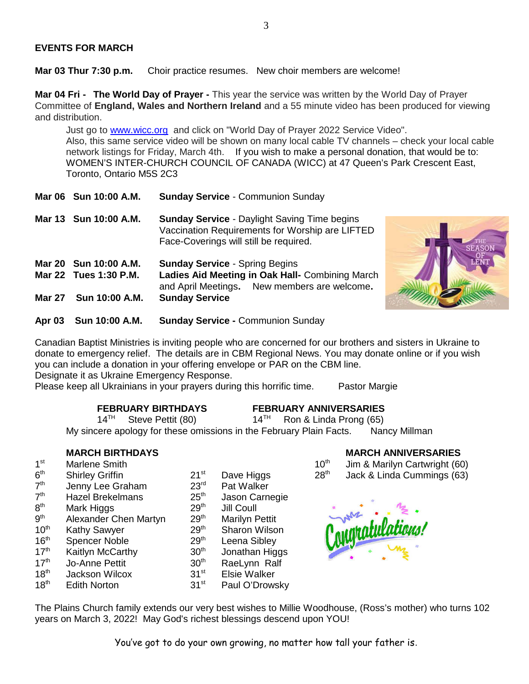### **EVENTS FOR MARCH**

**Mar 03 Thur 7:30 p.m.** Choir practice resumes. New choir members are welcome!

**Mar 04 Fri - The World Day of Prayer -** This year the service was written by the World Day of Prayer Committee of **England, Wales and Northern Ireland** and a 55 minute video has been produced for viewing and distribution.

Just go to www.wicc.org and click on "World Day of Prayer 2022 Service Video". Also, this same service video will be shown on many local cable TV channels – check your local cable network listings for Friday, March 4th. If you wish to make a personal donation, that would be to: WOMEN'S INTER-CHURCH COUNCIL OF CANADA (WICC) at 47 Queen's Park Crescent East, Toronto, Ontario M5S 2C3

- **Mar 06 Sun 10:00 A.M. Sunday Service** Communion Sunday
- **Mar 13 Sun 10:00 A.M. Sunday Service** Daylight Saving Time begins Vaccination Requirements for Worship are LIFTED Face-Coverings will still be required.

**Mar 20 Sun 10:00 A.M. Sunday Service** - Spring Begins **Mar 22 Tues 1:30 P.M. Ladies Aid Meeting in Oak Hall-** Combining March and April Meetings**.** New members are welcome**. Mar 27 Sun 10:00 A.M. Sunday Service**



**Apr 03 Sun 10:00 A.M. Sunday Service -** Communion Sunday

Canadian Baptist Ministries is inviting people who are concerned for our brothers and sisters in Ukraine to donate to emergency relief. The details are in CBM Regional News. You may donate online or if you wish you can include a donation in your offering envelope or PAR on the CBM line.

Designate it as Ukraine Emergency Response.

Please keep all Ukrainians in your prayers during this horrific time. Pastor Margie

**FEBRUARY BIRTHDAYS FEBRUARY ANNIVERSARIES**<br>14<sup>TH</sup> Steve Pettit (80) 14<sup>TH</sup> Ron & Linda Prong (65) Steve Pettit  $(80)$  14<sup>TH</sup> Ron & Linda Prong  $(65)$ My sincere apology for these omissions in the February Plain Facts. Nancy Millman

- $1<sup>st</sup>$  $6<sup>th</sup>$
- $7<sup>th</sup>$ Jenny Lee Graham 23<sup>rd</sup> Pat Walker
- $7<sup>th</sup>$ Hazel Brekelmans 25<sup>th</sup> Jason Carnegie
- $8<sup>th</sup>$
- Mark Higgs  $29<sup>th</sup>$  Jill Coull<br>Alexander Chen Martyn  $29<sup>th</sup>$  Marilyn P  $9<sup>th</sup>$ Alexander Chen Martyn 29<sup>th</sup> Marilyn Pettit
- 10<sup>th</sup> Kathy Sawyer 29<sup>th</sup> Sharon Wilson
- 16<sup>th</sup> Spencer Noble 29<sup>th</sup> Leena Sibley<br>17<sup>th</sup> Kaitlyn McCarthy 30<sup>th</sup> Jonathan Hig
- -
- $17<sup>th</sup>$  Kaitlyn McCarthy  $17<sup>th</sup>$  Jonathan Higgs  $17<sup>th</sup>$  Jonathan Higgs  $17<sup>th</sup>$  Jo-Anne Pettit  $30<sup>th</sup>$  Rael vnn Ralf 17<sup>th</sup> Jo-Anne Pettit 30<sup>th</sup> RaeLynn Ralf<br>18<sup>th</sup> Jackson Wilcox 31<sup>st</sup> Elsie Walker
- 18<sup>th</sup> Jackson Wilcox **31<sup>st</sup> Elsie Walker**<br>18<sup>th</sup> Edith Norton **31st** Paul O'Drows
	- Edith Norton 31<sup>st</sup> Paul O'Drowsky
- **MARCH BIRTHDAYS MARCH ANNIVERSARIES**
- Marlene Smith  $10<sup>th</sup>$  Jim & Marilyn Cartwright (60)
- Shirley Griffin 21<sup>st</sup> Dave Higgs  $28<sup>th</sup>$  Jack & Linda Cummings (63)



The Plains Church family extends our very best wishes to Millie Woodhouse, (Ross's mother) who turns 102 years on March 3, 2022! May God's richest blessings descend upon YOU!

You've got to do your own growing, no matter how tall your father is.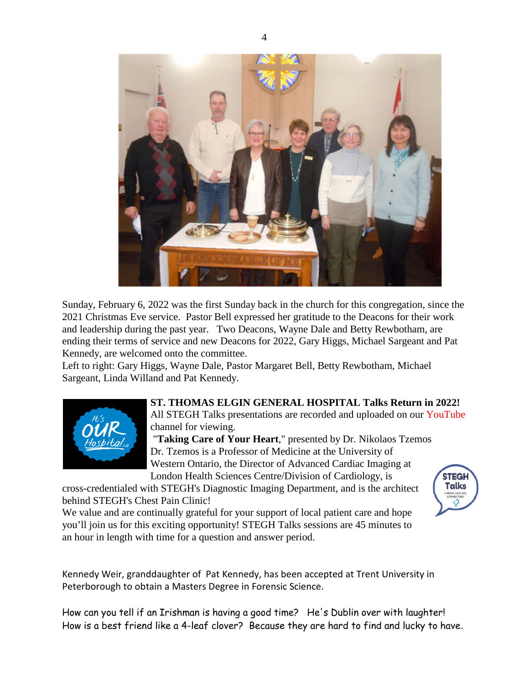

Sunday, February 6, 2022 was the first Sunday back in the church for this congregation, since the 2021 Christmas Eve service. Pastor Bell expressed her gratitude to the Deacons for their work and leadership during the past year. Two Deacons, Wayne Dale and Betty Rewbotham, are ending their terms of service and new Deacons for 2022, Gary Higgs, Michael Sargeant and Pat Kennedy, are welcomed onto the committee.

Left to right: Gary Higgs, Wayne Dale, Pastor Margaret Bell, Betty Rewbotham, Michael Sargeant, Linda Willand and Pat Kennedy.



**ST. THOMAS ELGIN GENERAL HOSPITAL Talks Return in 2022!** All STEGH Talks presentations are recorded and uploaded on our YouTube channel for viewing.

> **STEGH Talks**

"**Taking Care of Your Heart**," presented by Dr. Nikolaos Tzemos Dr. Tzemos is a Professor of Medicine at the University of Western Ontario, the Director of Advanced Cardiac Imaging at London Health Sciences Centre/Division of Cardiology, is

cross-credentialed with STEGH's Diagnostic Imaging Department, and is the architect behind STEGH's Chest Pain Clinic!

We value and are continually grateful for your support of local patient care and hope you'll join us for this exciting opportunity! STEGH Talks sessions are 45 minutes to an hour in length with time for a question and answer period.

Kennedy Weir, granddaughter of Pat Kennedy, has been accepted at Trent University in Peterborough to obtain a Masters Degree in Forensic Science.

How can you tell if an Irishman is having a good time? He's Dublin over with laughter! How is a best friend like a 4-leaf clover? Because they are hard to find and lucky to have.

4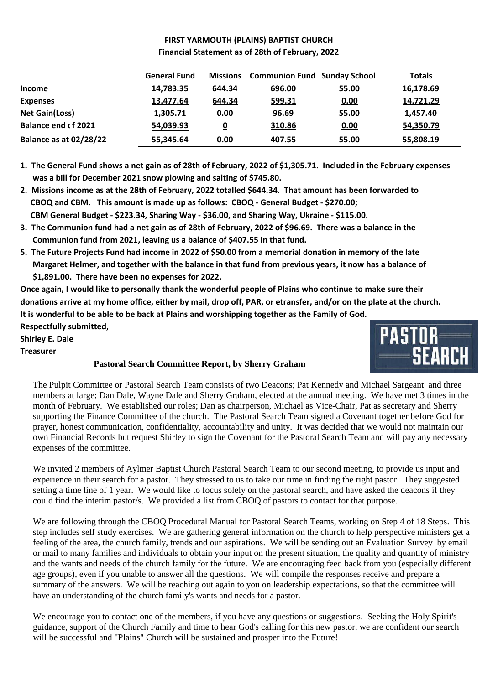# **FIRST YARMOUTH (PLAINS) BAPTIST CHURCH Financial Statement as of 28th of February, 2022**

|                               | <b>General Fund</b> | <b>Missions</b> | <b>Communion Fund Sunday School</b> |       | <b>Totals</b> |
|-------------------------------|---------------------|-----------------|-------------------------------------|-------|---------------|
| <b>Income</b>                 | 14,783.35           | 644.34          | 696.00                              | 55.00 | 16,178.69     |
| <b>Expenses</b>               | 13,477.64           | 644.34          | 599.31                              | 0.00  | 14,721.29     |
| <b>Net Gain(Loss)</b>         | 1,305.71            | 0.00            | 96.69                               | 55.00 | 1,457.40      |
| <b>Balance end cf 2021</b>    | 54,039.93           | 0               | 310.86                              | 0.00  | 54,350.79     |
| <b>Balance as at 02/28/22</b> | 55,345.64           | 0.00            | 407.55                              | 55.00 | 55,808.19     |

- **1. The General Fund shows a net gain as of 28th of February, 2022 of \$1,305.71. Included in the February expenses was a bill for December 2021 snow plowing and salting of \$745.80.**
- **2. Missions income as at the 28th of February, 2022 totalled \$644.34. That amount has been forwarded to CBOQ and CBM. This amount is made up as follows: CBOQ - General Budget - \$270.00; CBM General Budget - \$223.34, Sharing Way - \$36.00, and Sharing Way, Ukraine - \$115.00.**
- **3. The Communion fund had a net gain as of 28th of February, 2022 of \$96.69. There was a balance in the Communion fund from 2021, leaving us a balance of \$407.55 in that fund.**
- **5. The Future Projects Fund had income in 2022 of \$50.00 from a memorial donation in memory of the late Margaret Helmer, and together with the balance in that fund from previous years, it now has a balance of \$1,891.00. There have been no expenses for 2022.**

**Once again, I would like to personally thank the wonderful people of Plains who continue to make sure their donations arrive at my home office, either by mail, drop off, PAR, or etransfer, and/or on the plate at the church. It is wonderful to be able to be back at Plains and worshipping together as the Family of God.**

**Respectfully submitted,**

**Shirley E. Dale**

**Treasurer**

# **Pastoral Search Committee Report, by Sherry Graham**

The Pulpit Committee or Pastoral Search Team consists of two Deacons; Pat Kennedy and Michael Sargeant and three members at large; Dan Dale, Wayne Dale and Sherry Graham, elected at the annual meeting. We have met 3 times in the month of February. We established our roles; Dan as chairperson, Michael as Vice-Chair, Pat as secretary and Sherry supporting the Finance Committee of the church. The Pastoral Search Team signed a Covenant together before God for prayer, honest communication, confidentiality, accountability and unity. It was decided that we would not maintain our own Financial Records but request Shirley to sign the Covenant for the Pastoral Search Team and will pay any necessary expenses of the committee.

We invited 2 members of Aylmer Baptist Church Pastoral Search Team to our second meeting, to provide us input and experience in their search for a pastor. They stressed to us to take our time in finding the right pastor. They suggested setting a time line of 1 year. We would like to focus solely on the pastoral search, and have asked the deacons if they could find the interim pastor/s. We provided a list from CBOQ of pastors to contact for that purpose.

We are following through the CBOO Procedural Manual for Pastoral Search Teams, working on Step 4 of 18 Steps. This step includes self study exercises. We are gathering general information on the church to help perspective ministers get a feeling of the area, the church family, trends and our aspirations. We will be sending out an Evaluation Survey by email or mail to many families and individuals to obtain your input on the present situation, the quality and quantity of ministry and the wants and needs of the church family for the future. We are encouraging feed back from you (especially different age groups), even if you unable to answer all the questions. We will compile the responses receive and prepare a summary of the answers. We will be reaching out again to you on leadership expectations, so that the committee will have an understanding of the church family's wants and needs for a pastor.

We encourage you to contact one of the members, if you have any questions or suggestions. Seeking the Holy Spirit's guidance, support of the Church Family and time to hear God's calling for this new pastor, we are confident our search will be successful and "Plains" Church will be sustained and prosper into the Future!